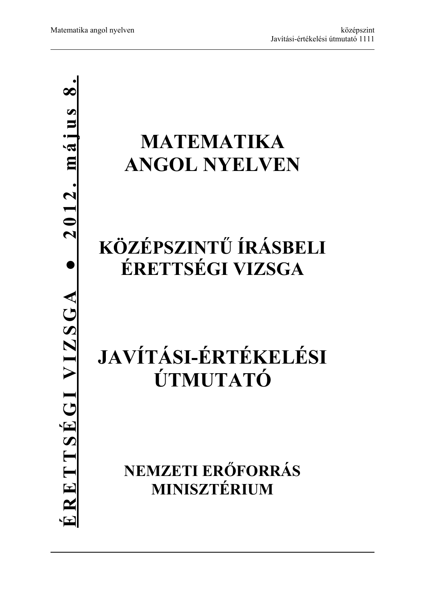# **MATEMATIKA ANGOL NYELVEN**

## **KÖZÉPSZINTŰ ÍRÁSBELI ÉRETTSÉGI VIZSGA**

# **JAVÍTÁSI-ÉRTÉKELÉSI ÚTMUTATÓ**

**NEMZETI ERŐFORRÁS MINISZTÉRIUM**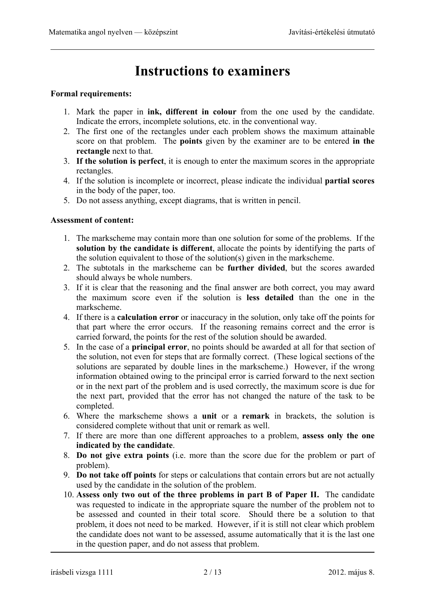### **Instructions to examiners**

#### **Formal requirements:**

- 1. Mark the paper in **ink, different in colour** from the one used by the candidate. Indicate the errors, incomplete solutions, etc. in the conventional way.
- 2. The first one of the rectangles under each problem shows the maximum attainable score on that problem. The **points** given by the examiner are to be entered **in the rectangle** next to that.
- 3. **If the solution is perfect**, it is enough to enter the maximum scores in the appropriate rectangles.
- 4. If the solution is incomplete or incorrect, please indicate the individual **partial scores** in the body of the paper, too.
- 5. Do not assess anything, except diagrams, that is written in pencil.

#### **Assessment of content:**

- 1. The markscheme may contain more than one solution for some of the problems. If the **solution by the candidate is different**, allocate the points by identifying the parts of the solution equivalent to those of the solution(s) given in the markscheme.
- 2. The subtotals in the markscheme can be **further divided**, but the scores awarded should always be whole numbers.
- 3. If it is clear that the reasoning and the final answer are both correct, you may award the maximum score even if the solution is **less detailed** than the one in the markscheme.
- 4. If there is a **calculation error** or inaccuracy in the solution, only take off the points for that part where the error occurs. If the reasoning remains correct and the error is carried forward, the points for the rest of the solution should be awarded.
- 5. In the case of a **principal error**, no points should be awarded at all for that section of the solution, not even for steps that are formally correct. (These logical sections of the solutions are separated by double lines in the markscheme.) However, if the wrong information obtained owing to the principal error is carried forward to the next section or in the next part of the problem and is used correctly, the maximum score is due for the next part, provided that the error has not changed the nature of the task to be completed.
- 6. Where the markscheme shows a **unit** or a **remark** in brackets, the solution is considered complete without that unit or remark as well.
- 7. If there are more than one different approaches to a problem, **assess only the one indicated by the candidate**.
- 8. **Do not give extra points** (i.e. more than the score due for the problem or part of problem).
- 9. **Do not take off points** for steps or calculations that contain errors but are not actually used by the candidate in the solution of the problem.
- 10. **Assess only two out of the three problems in part B of Paper II.** The candidate was requested to indicate in the appropriate square the number of the problem not to be assessed and counted in their total score. Should there be a solution to that problem, it does not need to be marked. However, if it is still not clear which problem the candidate does not want to be assessed, assume automatically that it is the last one in the question paper, and do not assess that problem.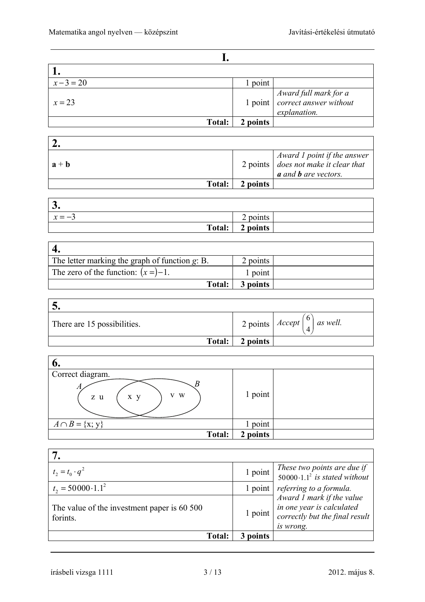| $x-3=20$      | 1 point  |                                                                        |
|---------------|----------|------------------------------------------------------------------------|
| $x = 23$      |          | $Award full mark for a 1 point correct answer without$<br>explanation. |
| <b>Total:</b> | 2 points |                                                                        |

| $a + b$       |          | Award 1 point if the answer<br>2 points $\vert$ does not make it clear that<br><b>a</b> and <b>b</b> are vectors. |
|---------------|----------|-------------------------------------------------------------------------------------------------------------------|
| <b>Total:</b> | 2 points |                                                                                                                   |

| $\overline{\phantom{a}}$<br>J. |             |  |
|--------------------------------|-------------|--|
| $\sim$<br>$x = -3$             | points<br>∽ |  |
| <b>Total:</b>                  | 2 points    |  |

| The letter marking the graph of function $g$ : B. | 2 points |  |
|---------------------------------------------------|----------|--|
| The zero of the function: $(x =) -1$ .            | 1 point  |  |
| Total:                                            | 3 points |  |

| J.                          |          |                                                                   |
|-----------------------------|----------|-------------------------------------------------------------------|
| There are 15 possibilities. |          | <sup>1</sup> 2 points $\left  \text{Accept} \right ^{6}$ as well. |
| Total:                      | 2 points |                                                                   |

| o.                                              |          |  |
|-------------------------------------------------|----------|--|
| Correct diagram.<br>R<br>A<br>V W<br>x y<br>z u | 1 point  |  |
| $A \cap B = \{x, y\}$                           | 1 point  |  |
| Total:                                          | 2 points |  |

| $t_2 = t_0 \cdot q^2$                                   | 1 point  | These two points are due if<br>50000.1.1 <sup>2</sup> is stated without                               |
|---------------------------------------------------------|----------|-------------------------------------------------------------------------------------------------------|
| $t_2 = 50000 \cdot 1.1^2$                               | 1 point  | referring to a formula.                                                                               |
| The value of the investment paper is 60 500<br>forints. | 1 point  | Award 1 mark if the value<br>in one year is calculated<br>correctly but the final result<br>is wrong. |
| <b>Total:</b>                                           | 3 points |                                                                                                       |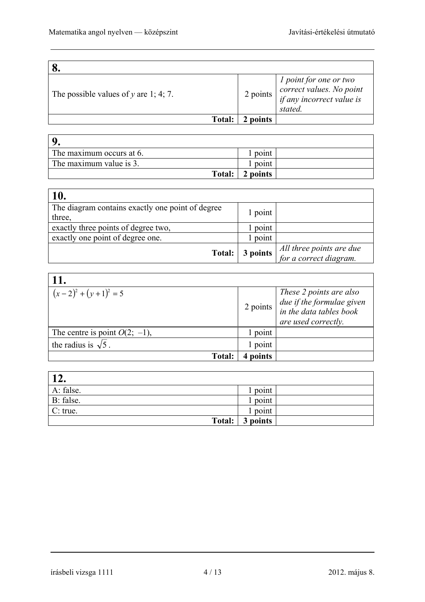| The possible values of $y$ are 1; 4; 7. | 2 points | $\begin{array}{ l } \hline l\ point\ for\ one\ or\ two\ correct\ values. \ No\ point\ if\ any\ incorrect\ value\ is\ \hline \end{array}$<br>stated. |
|-----------------------------------------|----------|-----------------------------------------------------------------------------------------------------------------------------------------------------|
| Total:                                  | 2 points |                                                                                                                                                     |

| The maximum occurs at 6. | point    |  |
|--------------------------|----------|--|
| The maximum value is 3.  | point    |  |
| <b>Total:</b>            | 2 points |  |

| 10.                                              |          |                          |
|--------------------------------------------------|----------|--------------------------|
| The diagram contains exactly one point of degree | l point  |                          |
| three,                                           |          |                          |
| exactly three points of degree two.              | point    |                          |
| exactly one point of degree one.                 | point    |                          |
|                                                  |          | All three points are due |
| Total:                                           | 3 points | for a correct diagram.   |

| <b>11.</b>                       |                |                                                                                                                                            |
|----------------------------------|----------------|--------------------------------------------------------------------------------------------------------------------------------------------|
| $(x-2)^2 + (y+1)^2 = 5$          | $2$ points $ $ | These 2 points are also<br>$\begin{array}{ l l } due if the formulae given\\ in the data tables book\\ \end{array}$<br>are used correctly. |
| The centre is point $O(2, -1)$ , | point          |                                                                                                                                            |
| the radius is $\sqrt{5}$ .       | 1 point        |                                                                                                                                            |
| <b>Total:</b>                    | points         |                                                                                                                                            |

| <b>19</b><br>⊥∠. |          |
|------------------|----------|
| A: false.        | point    |
| B: false.        | point    |
| C: true.         | point    |
| Total:           | 3 points |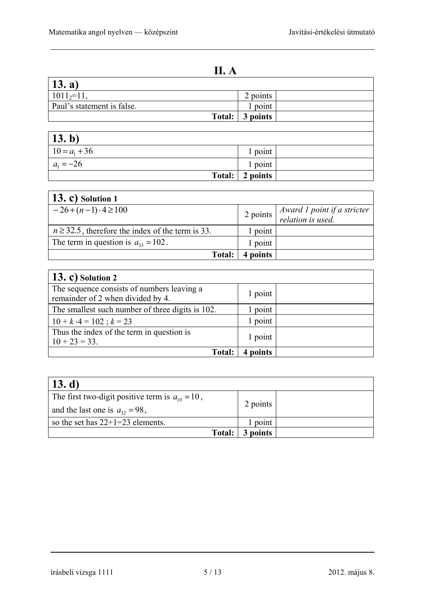**II. A** 

| II. A                                              |          |  |
|----------------------------------------------------|----------|--|
| $\vert$ 13. a)                                     |          |  |
| $1011_2=11$ ,                                      | 2 points |  |
| Paul's statement is false.                         | 1 point  |  |
| Total:                                             | 3 points |  |
|                                                    |          |  |
| <b>13. b)</b><br>$\frac{10 = a_1 + 36}{a_1 = -26}$ |          |  |
|                                                    | 1 point  |  |
|                                                    | 1 point  |  |
| <b>Total:</b>                                      | 2 points |  |

| 13. c) Solution $1$                                   |          |                                                  |
|-------------------------------------------------------|----------|--------------------------------------------------|
| $-26+(n-1)\cdot 4\geq 100$                            | 2 points | Award 1 point if a stricter<br>relation is used. |
| $n \ge 32.5$ , therefore the index of the term is 33. | l point  |                                                  |
| The term in question is $a_{33} = 102$ .              | 1 point  |                                                  |
| Total:                                                | 4 points |                                                  |

| $\vert$ 13. c) Solution 2                                                       |         |  |
|---------------------------------------------------------------------------------|---------|--|
| The sequence consists of numbers leaving a<br>remainder of 2 when divided by 4. | 1 point |  |
| The smallest such number of three digits is 102.                                | point   |  |
| $10 + k \cdot 4 = 102$ ; $k = 23$                                               | 1 point |  |
| Thus the index of the term in question is<br>$10 + 23 = 33$ .                   | 1 point |  |
| <b>Total:</b>                                                                   | points  |  |

| $\vert$ 13. d)                                       |          |  |
|------------------------------------------------------|----------|--|
| The first two-digit positive term is $a_{10} = 10$ , |          |  |
| and the last one is $a_{32} = 98$ ,                  | 2 points |  |
| so the set has $22+1=23$ elements.                   | point    |  |
| Total:                                               | 3 points |  |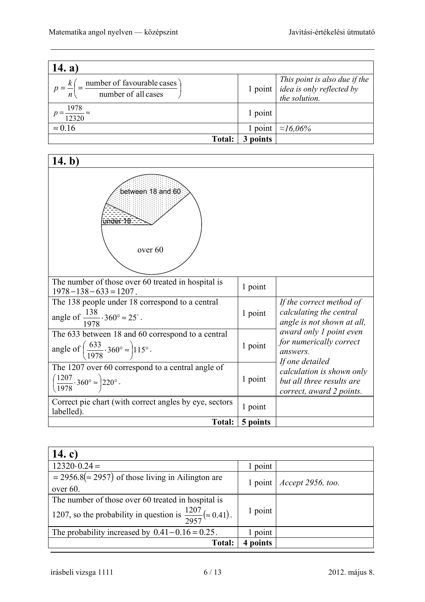| 14. a)                                            |         |                                                                                      |
|---------------------------------------------------|---------|--------------------------------------------------------------------------------------|
| number of favourable cases<br>number of all cases |         | $This point is also due if the 1 point [idea is only reflected by]$<br>the solution. |
| 1978<br>12320                                     | 1 point |                                                                                      |
| $\approx 0.16$                                    | 1 point | $\approx 16,06\%$                                                                    |
| Total:                                            | points  |                                                                                      |

| 14. b)                                                                                                                                 |          |                                                                                                       |
|----------------------------------------------------------------------------------------------------------------------------------------|----------|-------------------------------------------------------------------------------------------------------|
| between 18 and 60<br><u>under 18 -</u><br>over 60                                                                                      |          |                                                                                                       |
| The number of those over 60 treated in hospital is<br>$1978 - 138 - 633 = 1207$ .                                                      | 1 point  |                                                                                                       |
| The 138 people under 18 correspond to a central<br>angle of $\frac{138}{1978} \cdot 360^\circ \approx 25^\circ$ .                      | 1 point  | If the correct method of<br>calculating the central<br>angle is not shown at all,                     |
| The 633 between 18 and 60 correspond to a central<br>angle of $\left(\frac{633}{1978} \cdot 360^{\circ} \approx \right) 115^{\circ}$ . | 1 point  | award only 1 point even<br>for numerically correct<br>answers.                                        |
| The 1207 over 60 correspond to a central angle of<br>$\left(\frac{1207}{1978}\cdot 360^{\circ}\approx\right)$ 220°.                    | 1 point  | If one detailed<br>calculation is shown only<br>but all three results are<br>correct, award 2 points. |
| Correct pie chart (with correct angles by eye, sectors<br>labelled).                                                                   | 1 point  |                                                                                                       |
| Total:                                                                                                                                 | 5 points |                                                                                                       |

| 14. c)                                                                                                                                |         |                                |
|---------------------------------------------------------------------------------------------------------------------------------------|---------|--------------------------------|
| $12320 \cdot 0.24 =$                                                                                                                  | 1 point |                                |
| $=$ 2956.8( $\approx$ 2957) of those living in Ailington are<br>over $60$ .                                                           |         | 1 point   $Accept\ 2956, too.$ |
| The number of those over 60 treated in hospital is<br>1207, so the probability in question is $\frac{1207}{2957}$ ( $\approx 0.41$ ). | 1 point |                                |
| The probability increased by $0.41 - 0.16 = 0.25$ .                                                                                   | 1 point |                                |
| <b>Total:</b>                                                                                                                         | points  |                                |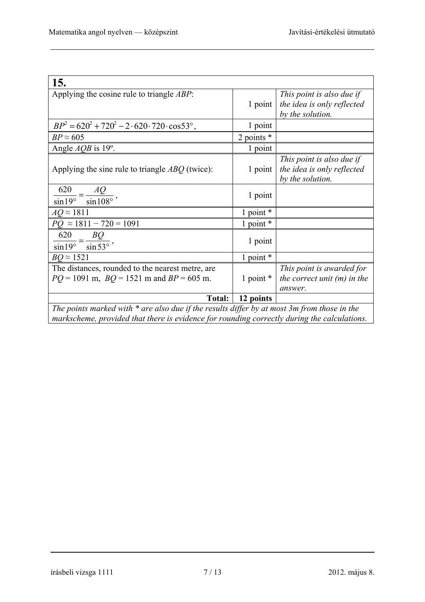| 15.                                                                                                                                                                                          |              |                                                                             |
|----------------------------------------------------------------------------------------------------------------------------------------------------------------------------------------------|--------------|-----------------------------------------------------------------------------|
| Applying the cosine rule to triangle $ABP$ :                                                                                                                                                 | 1 point      | This point is also due if<br>the idea is only reflected<br>by the solution. |
| $BP^2 = 620^2 + 720^2 - 2.620.720 \cdot \cos 53^\circ$ ,                                                                                                                                     | 1 point      |                                                                             |
| $BP \approx 605$                                                                                                                                                                             | 2 points $*$ |                                                                             |
| Angle $AQB$ is 19 $^{\circ}$ .                                                                                                                                                               | 1 point      |                                                                             |
| Applying the sine rule to triangle $ABQ$ (twice):                                                                                                                                            | 1 point      | This point is also due if<br>the idea is only reflected<br>by the solution. |
| $\frac{620}{\sin 19^\circ} = \frac{AQ}{\sin 108^\circ},$                                                                                                                                     | 1 point      |                                                                             |
| $AQ \approx 1811$                                                                                                                                                                            | 1 point *    |                                                                             |
| $PQ \approx 1811 - 720 = 1091$                                                                                                                                                               | 1 point $*$  |                                                                             |
| $\frac{620}{\sin 19^\circ} = \frac{BQ}{\sin 53^\circ},$                                                                                                                                      | 1 point      |                                                                             |
| $BQ \approx 1521$                                                                                                                                                                            | 1 point *    |                                                                             |
| The distances, rounded to the nearest metre, are<br>$PQ = 1091$ m, $BQ = 1521$ m and $BP = 605$ m.                                                                                           | 1 point $*$  | This point is awarded for<br>the correct unit $(m)$ in the<br>answer.       |
| Total:                                                                                                                                                                                       | 12 points    |                                                                             |
| The points marked with $*$ are also due if the results differ by at most 3m from those in the<br>markscheme, provided that there is evidence for rounding correctly during the calculations. |              |                                                                             |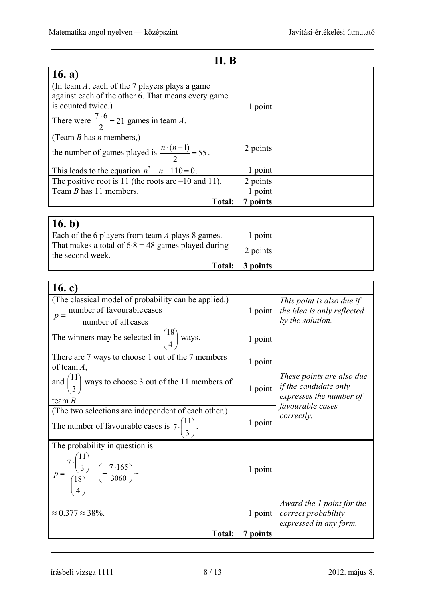### **II. B**

| 16. $a)$                                                       |          |  |
|----------------------------------------------------------------|----------|--|
| (In team $A$ , each of the 7 players plays a game              |          |  |
| against each of the other 6. That means every game             |          |  |
| is counted twice.)                                             | 1 point  |  |
| There were $\frac{7 \cdot 6}{2}$ = 21 games in team A.         |          |  |
| (Team <i>B</i> has <i>n</i> members,)                          |          |  |
| the number of games played is $\frac{n \cdot (n-1)}{2} = 55$ . | 2 points |  |
| This leads to the equation $n^2 - n - 110 = 0$ .               | 1 point  |  |
| The positive root is 11 (the roots are $-10$ and 11).          | 2 points |  |
| Team <i>B</i> has 11 members.                                  | 1 point  |  |
| <b>Total:</b>                                                  | points   |  |

| 16. b)                                                                   |                 |  |
|--------------------------------------------------------------------------|-----------------|--|
| Each of the 6 players from team A plays 8 games.                         | point           |  |
| That makes a total of $6.8 = 48$ games played during<br>the second week. | 2 points        |  |
|                                                                          | Total: 3 points |  |

| 16. c)                                                                                                                                      |          |                                                                                      |
|---------------------------------------------------------------------------------------------------------------------------------------------|----------|--------------------------------------------------------------------------------------|
| (The classical model of probability can be applied.)<br>number of favourable cases<br>$p = -$<br>number of all cases                        | 1 point  | This point is also due if<br>the idea is only reflected<br>by the solution.          |
| The winners may be selected in $\binom{18}{4}$ ways.                                                                                        | 1 point  |                                                                                      |
| There are 7 ways to choose 1 out of the 7 members<br>of team $A$ ,                                                                          | 1 point  |                                                                                      |
| and $\binom{11}{3}$ ways to choose 3 out of the 11 members of<br>team $B$ .                                                                 | 1 point  | These points are also due<br><i>if the candidate only</i><br>expresses the number of |
| (The two selections are independent of each other.)                                                                                         |          | favourable cases                                                                     |
| The number of favourable cases is $7 \cdot \binom{11}{3}$ .                                                                                 | 1 point  | correctly.                                                                           |
| The probability in question is<br>$p = \frac{7 \cdot \binom{11}{3}}{\binom{18}{4}} \quad \left( = \frac{7 \cdot 165}{3060} \right) \approx$ | 1 point  |                                                                                      |
| $\approx 0.377 \approx 38\%$ .                                                                                                              | 1 point  | Award the 1 point for the<br>correct probability<br>expressed in any form.           |
| <b>Total:</b>                                                                                                                               | 7 points |                                                                                      |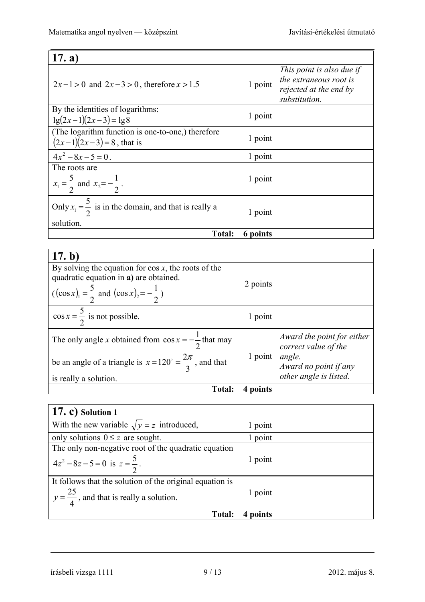| (17. a)                                                                           |          |                                                                                                |
|-----------------------------------------------------------------------------------|----------|------------------------------------------------------------------------------------------------|
| $2x-1>0$ and $2x-3>0$ , therefore $x>1.5$                                         | 1 point  | This point is also due if<br>the extraneous root is<br>rejected at the end by<br>substitution. |
| By the identities of logarithms:<br>$lg(2x-1)(2x-3) = lg8$                        | 1 point  |                                                                                                |
| (The logarithm function is one-to-one,) therefore<br>$(2x-1)(2x-3) = 8$ , that is | 1 point  |                                                                                                |
| $4x^2-8x-5=0$ .                                                                   | 1 point  |                                                                                                |
| The roots are<br>$x_1 = \frac{5}{2}$ and $x_2 = -\frac{1}{2}$ .                   | 1 point  |                                                                                                |
| Only $x_1 = \frac{5}{2}$ is in the domain, and that is really a<br>solution.      | 1 point  |                                                                                                |
| <b>Total:</b>                                                                     | 6 points |                                                                                                |

| (17. b)                                                                                                                                                            |          |                                                                                                                 |
|--------------------------------------------------------------------------------------------------------------------------------------------------------------------|----------|-----------------------------------------------------------------------------------------------------------------|
| By solving the equation for $\cos x$ , the roots of the<br>quadratic equation in a) are obtained.<br>$((\cos x)_1 = \frac{5}{2}$ and $(\cos x)_2 = -\frac{1}{2}$ ) | 2 points |                                                                                                                 |
| $\cos x = \frac{5}{2}$ is not possible.                                                                                                                            | 1 point  |                                                                                                                 |
| The only angle x obtained from $\cos x = -\frac{1}{2}$ that may<br>be an angle of a triangle is $x = 120^\circ = \frac{2\pi}{3}$ , and that                        | 1 point  | Award the point for either<br>correct value of the<br>angle.<br>Award no point if any<br>other angle is listed. |
| is really a solution.                                                                                                                                              |          |                                                                                                                 |
| <b>Total:</b>                                                                                                                                                      | 4 points |                                                                                                                 |

| $(17, c)$ Solution 1                                                                                            |         |  |
|-----------------------------------------------------------------------------------------------------------------|---------|--|
| With the new variable $\sqrt{y} = z$ introduced,                                                                | 1 point |  |
| only solutions $0 \le z$ are sought.                                                                            | 1 point |  |
| The only non-negative root of the quadratic equation<br>$4z^2-8z-5=0$ is $z=\frac{5}{2}$ .                      | 1 point |  |
| It follows that the solution of the original equation is<br>$y = \frac{25}{4}$ , and that is really a solution. | 1 point |  |
| <b>Total:</b>                                                                                                   | points  |  |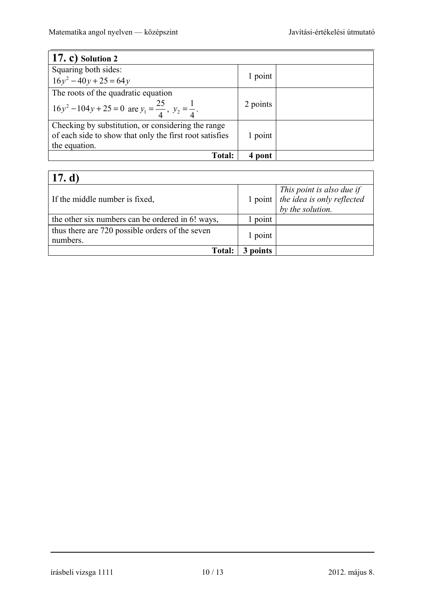┓

| $(17, c)$ Solution 2                                                     |          |  |
|--------------------------------------------------------------------------|----------|--|
| Squaring both sides:                                                     |          |  |
| $16y^2 - 40y + 25 = 64y$                                                 | 1 point  |  |
| The roots of the quadratic equation                                      |          |  |
| $16y^2 - 104y + 25 = 0$ are $y_1 = \frac{25}{4}$ , $y_2 = \frac{1}{4}$ . | 2 points |  |
| Checking by substitution, or considering the range                       |          |  |
| of each side to show that only the first root satisfies                  | 1 point  |  |
| the equation.                                                            |          |  |
| <b>Total:</b>                                                            | 4 pont   |  |

### **17. d)**

| 17. UJ                                                      |          |                                                                                                                                                    |
|-------------------------------------------------------------|----------|----------------------------------------------------------------------------------------------------------------------------------------------------|
| If the middle number is fixed,                              |          | $\begin{array}{c c} \hline \text{This point is also due if} \\ \text{1 point} & \text{the idea is only reflected} \end{array}$<br>by the solution. |
| the other six numbers can be ordered in 6! ways,            | point    |                                                                                                                                                    |
| thus there are 720 possible orders of the seven<br>numbers. | 1 point  |                                                                                                                                                    |
| <b>Total:</b>                                               | 3 points |                                                                                                                                                    |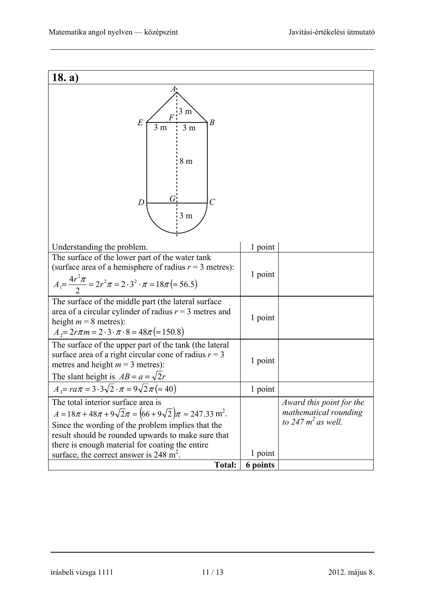| 18. a)                                                                                                                                                                                                                                                                                                                                          |          |                                                                            |
|-------------------------------------------------------------------------------------------------------------------------------------------------------------------------------------------------------------------------------------------------------------------------------------------------------------------------------------------------|----------|----------------------------------------------------------------------------|
| Æ!<br>$\frac{1}{3}$ m<br>$\overline{F}$<br>$\boldsymbol{B}$<br>E<br>3 <sub>m</sub><br>3 <sub>m</sub><br>8m<br>( i<br>$\overline{C}$<br>D<br>3 <sub>m</sub>                                                                                                                                                                                      |          |                                                                            |
| Understanding the problem.                                                                                                                                                                                                                                                                                                                      | 1 point  |                                                                            |
| The surface of the lower part of the water tank<br>(surface area of a hemisphere of radius $r = 3$ metres):<br>$A_1 = \frac{4r^2\pi}{2} = 2r^2\pi = 2\cdot3^2\cdot\pi = 18\pi (\approx 56.5)$                                                                                                                                                   | 1 point  |                                                                            |
| The surface of the middle part (the lateral surface)<br>area of a circular cylinder of radius $r = 3$ metres and<br>height $m = 8$ metres):<br>$A_2 = 2r\pi m = 2 \cdot 3 \cdot \pi \cdot 8 = 48\pi (\approx 150.8)$                                                                                                                            | 1 point  |                                                                            |
| The surface of the upper part of the tank (the lateral<br>surface area of a right circular cone of radius $r = 3$<br>metres and height $m = 3$ metres):<br>The slant height is $AB = a = \sqrt{2r}$                                                                                                                                             | 1 point  |                                                                            |
| $A_3 = r a \pi = 3.3 \sqrt{2} \cdot \pi = 9 \sqrt{2} \pi (\approx 40)$                                                                                                                                                                                                                                                                          | 1 point  |                                                                            |
| The total interior surface area is<br>$A = 18\pi + 48\pi + 9\sqrt{2}\pi = (66 + 9\sqrt{2})\pi \approx 247.33 \text{ m}^2.$<br>Since the wording of the problem implies that the<br>result should be rounded upwards to make sure that<br>there is enough material for coating the entire<br>surface, the correct answer is 248 m <sup>2</sup> . | 1 point  | Award this point for the<br>mathematical rounding<br>to 247 $m^2$ as well. |
| <b>Total:</b>                                                                                                                                                                                                                                                                                                                                   | 6 points |                                                                            |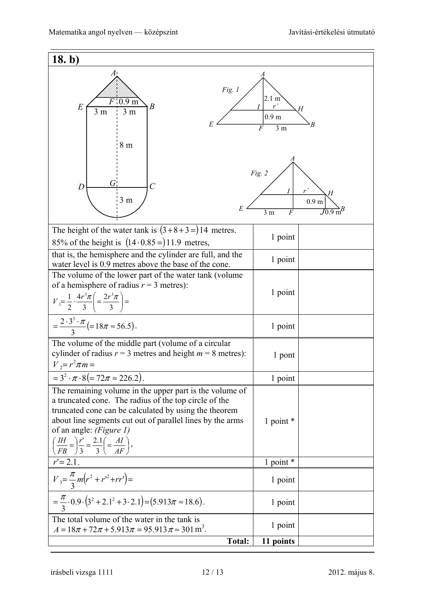